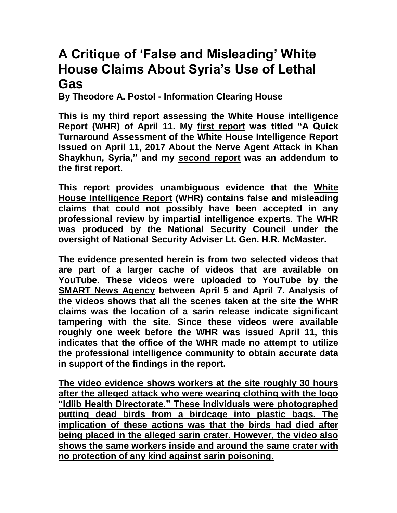## **A Critique of "False and Misleading" White House Claims About Syria"s Use of Lethal Gas**

**By Theodore A. Postol - [Information Clearing House](http://www.informationclearinghouse.info/)**

**This is my third report assessing the White House intelligence Report (WHR) of April 11. My [first report](https://www.scribd.com/document/344995943/Report-by-White-House-Alleging-Proof-of-Syria-as-the-Perpetrator-of-the-Nerve-Agent-Attack-in-Khan-Shaykhun-on-April-4-2017#from_embed) was titled "A Quick Turnaround Assessment of the White House Intelligence Report Issued on April 11, 2017 About the Nerve Agent Attack in Khan Shaykhun, Syria," and my [second report](http://www.washingtonsblog.com/2017/04/addendum-dr-theodore-postols-assessment-white-house-report-syria-chemical-attack.html) was an addendum to the first report.**

**This report provides unambiguous evidence that the [White](https://www.nytimes.com/interactive/2017/04/11/world/middleeast/document-Syria-Chemical-Weapons-Report-White-House.html)  [House Intelligence Report](https://www.nytimes.com/interactive/2017/04/11/world/middleeast/document-Syria-Chemical-Weapons-Report-White-House.html) (WHR) contains false and misleading claims that could not possibly have been accepted in any professional review by impartial intelligence experts. The WHR was produced by the National Security Council under the oversight of National Security Adviser Lt. Gen. H.R. McMaster.**

**The evidence presented herein is from two selected videos that are part of a larger cache of videos that are available on YouTube. These videos were uploaded to YouTube by the [SMART News Agency](https://smartnews-agency.com/) between April 5 and April 7. Analysis of the videos shows that all the scenes taken at the site the WHR claims was the location of a sarin release indicate significant tampering with the site. Since these videos were available roughly one week before the WHR was issued April 11, this indicates that the office of the WHR made no attempt to utilize the professional intelligence community to obtain accurate data in support of the findings in the report.**

**The video evidence shows workers at the site roughly 30 hours after the alleged attack who were wearing clothing with the logo "Idlib Health Directorate." These individuals were photographed putting dead birds from a birdcage into plastic bags. The implication of these actions was that the birds had died after being placed in the alleged sarin crater. However, the video also shows the same workers inside and around the same crater with no protection of any kind against sarin poisoning.**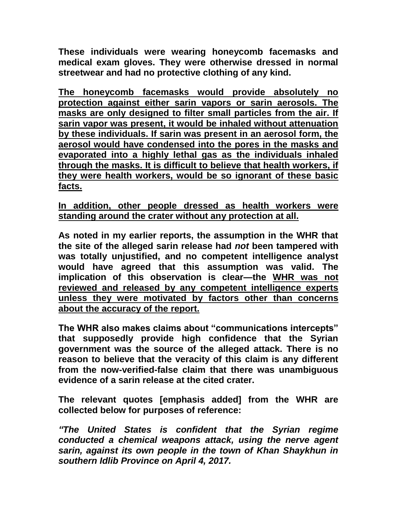**These individuals were wearing honeycomb facemasks and medical exam gloves. They were otherwise dressed in normal streetwear and had no protective clothing of any kind.**

**The honeycomb facemasks would provide absolutely no protection against either sarin vapors or sarin aerosols. The masks are only designed to filter small particles from the air. If sarin vapor was present, it would be inhaled without attenuation by these individuals. If sarin was present in an aerosol form, the aerosol would have condensed into the pores in the masks and evaporated into a highly lethal gas as the individuals inhaled through the masks. It is difficult to believe that health workers, if they were health workers, would be so ignorant of these basic facts.**

**In addition, other people dressed as health workers were standing around the crater without any protection at all.**

**As noted in my earlier reports, the assumption in the WHR that the site of the alleged sarin release had** *not* **been tampered with was totally unjustified, and no competent intelligence analyst would have agreed that this assumption was valid. The implication of this observation is clear—the WHR was not reviewed and released by any competent intelligence experts unless they were motivated by factors other than concerns about the accuracy of the report.**

**The WHR also makes claims about "communications intercepts" that supposedly provide high confidence that the Syrian government was the source of the alleged attack. There is no reason to believe that the veracity of this claim is any different from the now-verified-false claim that there was unambiguous evidence of a sarin release at the cited crater.**

**The relevant quotes [emphasis added] from the WHR are collected below for purposes of reference:**

*"The United States is confident that the Syrian regime conducted a chemical weapons attack, using the nerve agent sarin, against its own people in the town of Khan Shaykhun in southern Idlib Province on April 4, 2017.*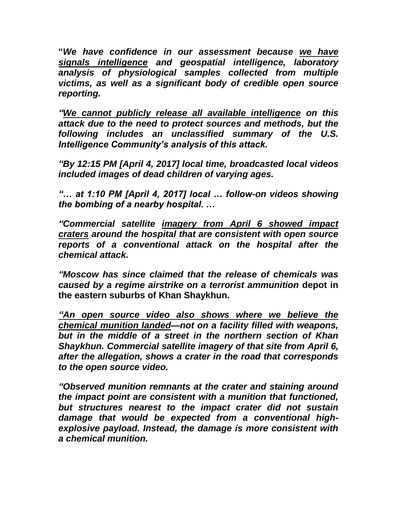**"***We have confidence in our assessment because we have signals intelligence and geospatial intelligence, laboratory analysis of physiological samples collected from multiple victims, as well as a significant body of credible open source reporting.*

*"We cannot publicly release all available intelligence on this attack due to the need to protect sources and methods, but the following includes an unclassified summary of the U.S. Intelligence Community's analysis of this attack.*

*"By 12:15 PM [April 4, 2017] local time, broadcasted local videos included images of dead children of varying ages.*

*"… at 1:10 PM [April 4, 2017] local … follow-on videos showing the bombing of a nearby hospital. …*

*"Commercial satellite imagery from April 6 showed impact craters around the hospital that are consistent with open source reports of a conventional attack on the hospital after the chemical attack.*

*"Moscow has since claimed that the release of chemicals was caused by a regime airstrike on a terrorist ammunition* **depot in the eastern suburbs of Khan Shaykhun.**

*"An open source video also shows where we believe the chemical munition landed—not on a facility filled with weapons, but in the middle of a street in the northern section of Khan Shaykhun. Commercial satellite imagery of that site from April 6, after the allegation, shows a crater in the road that corresponds to the open source video.*

*"Observed munition remnants at the crater and staining around the impact point are consistent with a munition that functioned, but structures nearest to the impact crater did not sustain damage that would be expected from a conventional highexplosive payload. Instead, the damage is more consistent with a chemical munition.*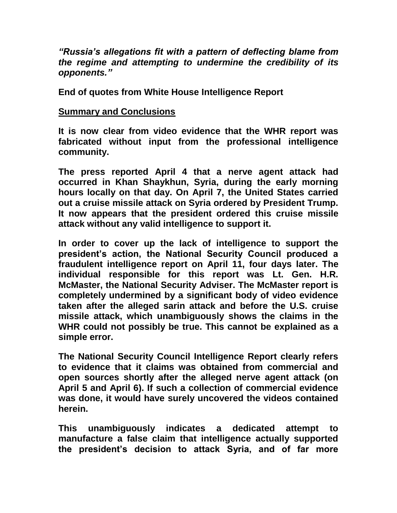*"Russia's allegations fit with a pattern of deflecting blame from the regime and attempting to undermine the credibility of its opponents."*

**End of quotes from White House Intelligence Report**

## **Summary and Conclusions**

**It is now clear from video evidence that the WHR report was fabricated without input from the professional intelligence community.**

**The press reported April 4 that a nerve agent attack had occurred in Khan Shaykhun, Syria, during the early morning hours locally on that day. On April 7, the United States carried out a cruise missile attack on Syria ordered by President Trump. It now appears that the president ordered this cruise missile attack without any valid intelligence to support it.**

**In order to cover up the lack of intelligence to support the president"s action, the National Security Council produced a fraudulent intelligence report on April 11, four days later. The individual responsible for this report was Lt. Gen. H.R. McMaster, the National Security Adviser. The McMaster report is completely undermined by a significant body of video evidence taken after the alleged sarin attack and before the U.S. cruise missile attack, which unambiguously shows the claims in the WHR could not possibly be true. This cannot be explained as a simple error.** 

**The National Security Council Intelligence Report clearly refers to evidence that it claims was obtained from commercial and open sources shortly after the alleged nerve agent attack (on April 5 and April 6). If such a collection of commercial evidence was done, it would have surely uncovered the videos contained herein.**

**This unambiguously indicates a dedicated attempt to manufacture a false claim that intelligence actually supported the president"s decision to attack Syria, and of far more**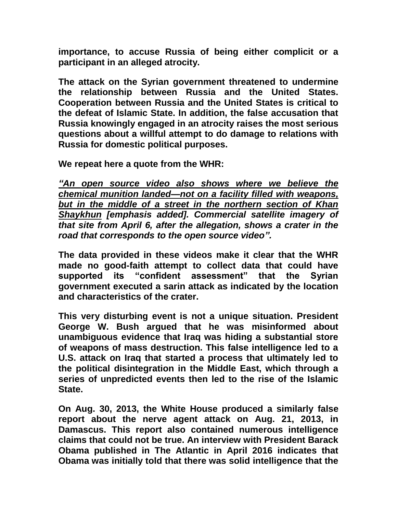**importance, to accuse Russia of being either complicit or a participant in an alleged atrocity.**

**The attack on the Syrian government threatened to undermine the relationship between Russia and the United States. Cooperation between Russia and the United States is critical to the defeat of Islamic State. In addition, the false accusation that Russia knowingly engaged in an atrocity raises the most serious questions about a willful attempt to do damage to relations with Russia for domestic political purposes.**

**We repeat here a quote from the WHR:**

*"An open source video also shows where we believe the chemical munition landed—not on a facility filled with weapons, but in the middle of a street in the northern section of Khan Shaykhun [emphasis added]. Commercial satellite imagery of that site from April 6, after the allegation, shows a crater in the road that corresponds to the open source video".*

**The data provided in these videos make it clear that the WHR made no good-faith attempt to collect data that could have supported its "confident assessment" that the Syrian government executed a sarin attack as indicated by the location and characteristics of the crater.**

**This very disturbing event is not a unique situation. President George W. Bush argued that he was misinformed about unambiguous evidence that Iraq was hiding a substantial store of weapons of mass destruction. This false intelligence led to a U.S. attack on Iraq that started a process that ultimately led to the political disintegration in the Middle East, which through a series of unpredicted events then led to the rise of the Islamic State.**

**On Aug. 30, 2013, the White House produced a similarly false report about the nerve agent attack on Aug. 21, 2013, in Damascus. This report also contained numerous intelligence claims that could not be true. An interview with President Barack Obama published in The Atlantic in April 2016 indicates that Obama was initially told that there was solid intelligence that the**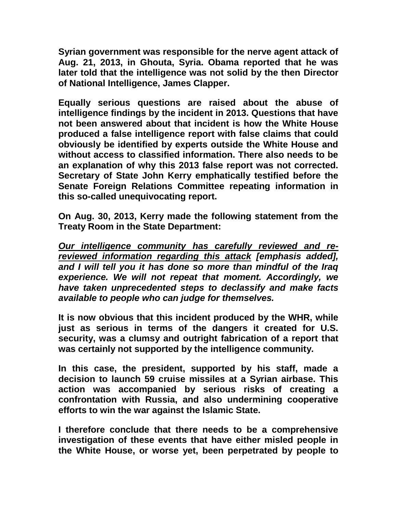**Syrian government was responsible for the nerve agent attack of Aug. 21, 2013, in Ghouta, Syria. Obama reported that he was later told that the intelligence was not solid by the then Director of National Intelligence, James Clapper.**

**Equally serious questions are raised about the abuse of intelligence findings by the incident in 2013. Questions that have not been answered about that incident is how the White House produced a false intelligence report with false claims that could obviously be identified by experts outside the White House and without access to classified information. There also needs to be an explanation of why this 2013 false report was not corrected. Secretary of State John Kerry emphatically testified before the Senate Foreign Relations Committee repeating information in this so-called unequivocating report.**

**On Aug. 30, 2013, Kerry made the following statement from the Treaty Room in the State Department:**

*Our intelligence community has carefully reviewed and rereviewed information regarding this attack [emphasis added], and I will tell you it has done so more than mindful of the Iraq experience. We will not repeat that moment. Accordingly, we have taken unprecedented steps to declassify and make facts available to people who can judge for themselves.*

**It is now obvious that this incident produced by the WHR, while just as serious in terms of the dangers it created for U.S. security, was a clumsy and outright fabrication of a report that was certainly not supported by the intelligence community.**

**In this case, the president, supported by his staff, made a decision to launch 59 cruise missiles at a Syrian airbase. This action was accompanied by serious risks of creating a confrontation with Russia, and also undermining cooperative efforts to win the war against the Islamic State.**

**I therefore conclude that there needs to be a comprehensive investigation of these events that have either misled people in the White House, or worse yet, been perpetrated by people to**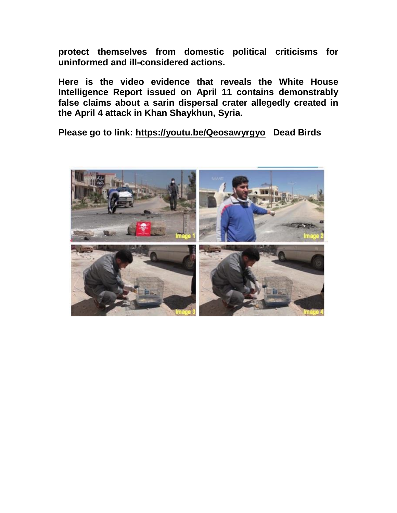**protect themselves from domestic political criticisms for uninformed and ill-considered actions.**

**Here is the video evidence that reveals the White House Intelligence Report issued on April 11 contains demonstrably false claims about a sarin dispersal crater allegedly created in the April 4 attack in Khan Shaykhun, Syria.**

**Please go to link:<https://youtu.be/Qeosawyrgyo>Dead Birds**

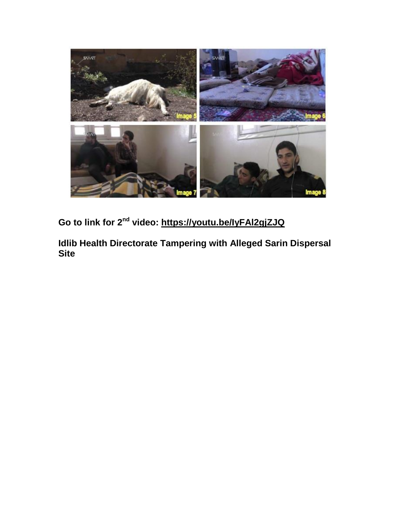

**Go to link for 2nd video:<https://youtu.be/IyFAl2gjZJQ>**

**Idlib Health Directorate Tampering with Alleged Sarin Dispersal Site**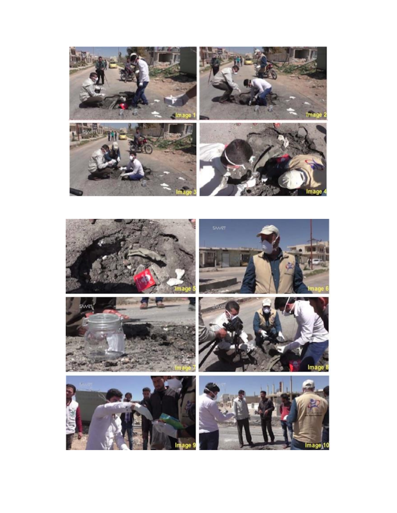